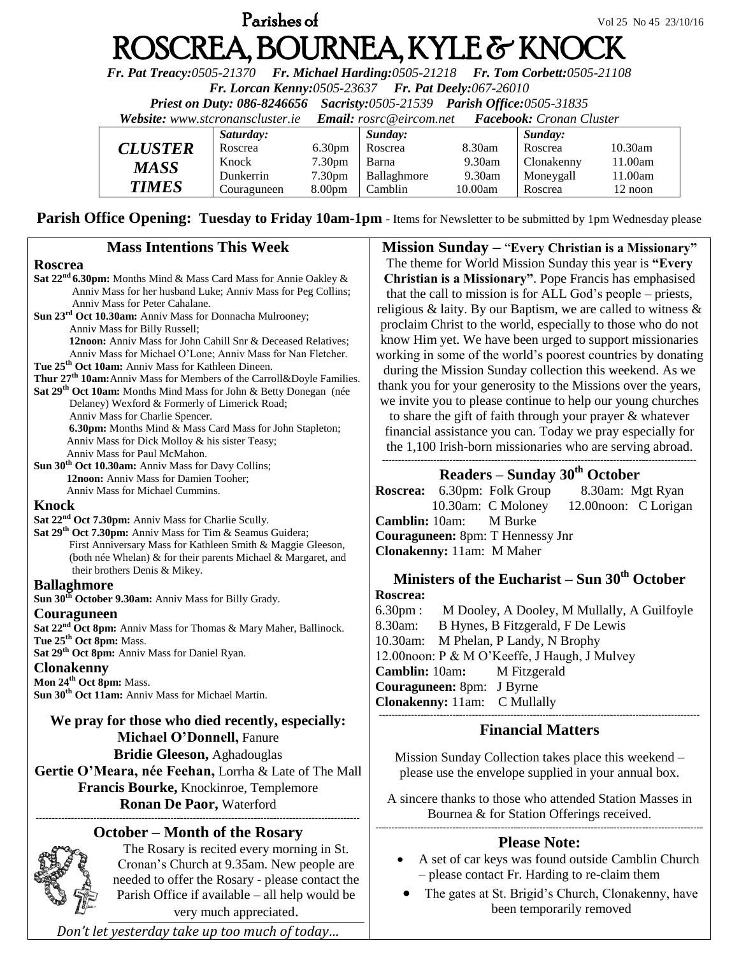# **Parishes of**  $Vol\ 25\ N_0\ 45\ 23/10/16$ ROSCREA, BOURNEA, KYLE & KNOC

*Fr. Pat Treacy:0505-21370 Fr. Michael Harding:0505-21218 Fr. Tom Corbett:0505-21108* 

*Fr. Lorcan Kenny:0505-23637 Fr. Pat Deely:067-26010* 

*Priest on Duty: 086-8246656 Sacristy:0505-21539 Parish Office:0505-31835* 

*Website: [www.stcronanscluster.ie](http://www.stcronanscluster.ie/) Email: [rosrc@eircom.net](mailto:rosrc@eircom.net) Facebook: Cronan Cluster* 

|                | Saturday:   |                    | Sunday:     |         | Sunday:    |            |
|----------------|-------------|--------------------|-------------|---------|------------|------------|
| <b>CLUSTER</b> | Roscrea     | 6.30 <sub>pm</sub> | Roscrea     | 8.30am  | Roscrea    | $10.30$ am |
| <b>MASS</b>    | Knock       | 7.30 <sub>pm</sub> | Barna       | 9.30am  | Clonakenny | 11.00am    |
|                | Dunkerrin   | 7.30 <sub>pm</sub> | Ballaghmore | 9.30am  | Moneygall  | 11.00am    |
| <b>TIMES</b>   | Couraguneen | 8.00 <sub>pm</sub> | Camblin     | 10.00am | Roscrea    | 12 noon    |

Parish Office Opening: Tuesday to Friday 10am-1pm - Items for Newsletter to be submitted by 1pm Wednesday please

| <b>Mass Intentions This Week</b>                                                                                                                                                                                                                                                                                                                                                                                                                                                                                                                                                                                                                                                                                                                                                                                                 | <b>Mission Sunday - "Every Christian is a Missionary"</b>                                                                                                                                                                                                                                                                                                                                                                                                                                                                                                                                                                                                                                                                                                                |  |  |  |
|----------------------------------------------------------------------------------------------------------------------------------------------------------------------------------------------------------------------------------------------------------------------------------------------------------------------------------------------------------------------------------------------------------------------------------------------------------------------------------------------------------------------------------------------------------------------------------------------------------------------------------------------------------------------------------------------------------------------------------------------------------------------------------------------------------------------------------|--------------------------------------------------------------------------------------------------------------------------------------------------------------------------------------------------------------------------------------------------------------------------------------------------------------------------------------------------------------------------------------------------------------------------------------------------------------------------------------------------------------------------------------------------------------------------------------------------------------------------------------------------------------------------------------------------------------------------------------------------------------------------|--|--|--|
| <b>Roscrea</b><br>Sat 22 <sup>nd</sup> 6.30pm: Months Mind & Mass Card Mass for Annie Oakley &<br>Anniv Mass for her husband Luke; Anniv Mass for Peg Collins;<br>Anniv Mass for Peter Cahalane.<br>Sun 23 <sup>rd</sup> Oct 10.30am: Anniv Mass for Donnacha Mulrooney;<br>Anniv Mass for Billy Russell;<br>12noon: Anniv Mass for John Cahill Snr & Deceased Relatives;<br>Anniv Mass for Michael O'Lone; Anniv Mass for Nan Fletcher.<br>Tue 25 <sup>th</sup> Oct 10am: Anniv Mass for Kathleen Dineen.<br>Thur 27 <sup>th</sup> 10am: Anniv Mass for Members of the Carroll&Doyle Families.<br>Sat 29 <sup>th</sup> Oct 10am: Months Mind Mass for John & Betty Donegan (née<br>Delaney) Wexford & Formerly of Limerick Road;<br>Anniv Mass for Charlie Spencer.<br>6.30pm: Months Mind & Mass Card Mass for John Stapleton; | The theme for World Mission Sunday this year is "Every"<br>Christian is a Missionary". Pope Francis has emphasised<br>that the call to mission is for ALL God's people – priests,<br>religious & laity. By our Baptism, we are called to witness $\&$<br>proclaim Christ to the world, especially to those who do not<br>know Him yet. We have been urged to support missionaries<br>working in some of the world's poorest countries by donating<br>during the Mission Sunday collection this weekend. As we<br>thank you for your generosity to the Missions over the years,<br>we invite you to please continue to help our young churches<br>to share the gift of faith through your prayer & whatever<br>financial assistance you can. Today we pray especially for |  |  |  |
| Anniv Mass for Dick Molloy & his sister Teasy;<br>Anniv Mass for Paul McMahon.<br>Sun 30 <sup>th</sup> Oct 10.30am: Anniv Mass for Davy Collins;                                                                                                                                                                                                                                                                                                                                                                                                                                                                                                                                                                                                                                                                                 | the 1,100 Irish-born missionaries who are serving abroad.                                                                                                                                                                                                                                                                                                                                                                                                                                                                                                                                                                                                                                                                                                                |  |  |  |
| 12noon: Anniv Mass for Damien Tooher;<br>Anniv Mass for Michael Cummins.<br>Knock<br>Sat 22 <sup>nd</sup> Oct 7.30pm: Anniv Mass for Charlie Scully.<br>Sat 29 <sup>th</sup> Oct 7.30pm: Anniv Mass for Tim & Seamus Guidera;<br>First Anniversary Mass for Kathleen Smith & Maggie Gleeson,                                                                                                                                                                                                                                                                                                                                                                                                                                                                                                                                     | Readers – Sunday $30th$ October<br><b>Roscrea:</b> 6.30pm: Folk Group<br>8.30am: Mgt Ryan<br>10.30am: C Moloney<br>12.00 noon: C Lorigan<br>Camblin: 10am:<br>M Burke<br>Couraguneen: 8pm: T Hennessy Jnr<br>Clonakenny: 11am: M Maher                                                                                                                                                                                                                                                                                                                                                                                                                                                                                                                                   |  |  |  |
| (both née Whelan) & for their parents Michael & Margaret, and<br>their brothers Denis & Mikey.<br><b>Ballaghmore</b><br>Sun 30 <sup>th</sup> October 9.30am: Anniv Mass for Billy Grady.                                                                                                                                                                                                                                                                                                                                                                                                                                                                                                                                                                                                                                         | Ministers of the Eucharist – Sun $30th$ October<br>Roscrea:                                                                                                                                                                                                                                                                                                                                                                                                                                                                                                                                                                                                                                                                                                              |  |  |  |
| Couraguneen<br>Sat 22 <sup>nd</sup> Oct 8pm: Anniv Mass for Thomas & Mary Maher, Ballinock.<br>Tue 25 <sup>th</sup> Oct 8pm: Mass.<br>Sat 29 <sup>th</sup> Oct 8pm: Anniv Mass for Daniel Ryan.<br><b>Clonakenny</b><br>Mon 24 <sup>th</sup> Oct 8pm: Mass.<br>Sun 30 <sup>th</sup> Oct 11am: Anniv Mass for Michael Martin.                                                                                                                                                                                                                                                                                                                                                                                                                                                                                                     | $6.30 \text{pm}$ :<br>M Dooley, A Dooley, M Mullally, A Guilfoyle<br>8.30am:<br>B Hynes, B Fitzgerald, F De Lewis<br>M Phelan, P Landy, N Brophy<br>10.30am:<br>12.00noon: P & M O'Keeffe, J Haugh, J Mulvey<br>Camblin: 10am:<br>M Fitzgerald<br>Couraguneen: 8pm: J Byrne<br>Clonakenny: 11am: C Mullally                                                                                                                                                                                                                                                                                                                                                                                                                                                              |  |  |  |
| We pray for those who died recently, especially:<br>Michael O'Donnell, Fanure                                                                                                                                                                                                                                                                                                                                                                                                                                                                                                                                                                                                                                                                                                                                                    | <b>Financial Matters</b>                                                                                                                                                                                                                                                                                                                                                                                                                                                                                                                                                                                                                                                                                                                                                 |  |  |  |
| <b>Bridie Gleeson, Aghadouglas</b><br>Gertie O'Meara, née Feehan, Lorrha & Late of The Mall<br>Francis Bourke, Knockinroe, Templemore                                                                                                                                                                                                                                                                                                                                                                                                                                                                                                                                                                                                                                                                                            | Mission Sunday Collection takes place this weekend –<br>please use the envelope supplied in your annual box.<br>A sincere thanks to those who attended Station Masses in                                                                                                                                                                                                                                                                                                                                                                                                                                                                                                                                                                                                 |  |  |  |
| Ronan De Paor, Waterford<br><b>October – Month of the Rosary</b>                                                                                                                                                                                                                                                                                                                                                                                                                                                                                                                                                                                                                                                                                                                                                                 | Bournea & for Station Offerings received.                                                                                                                                                                                                                                                                                                                                                                                                                                                                                                                                                                                                                                                                                                                                |  |  |  |
| The Rosary is recited every morning in St.<br>Cronan's Church at 9.35am. New people are<br>needed to offer the Rosary - please contact the<br>Parish Office if available – all help would be                                                                                                                                                                                                                                                                                                                                                                                                                                                                                                                                                                                                                                     | <b>Please Note:</b><br>A set of car keys was found outside Camblin Church<br>- please contact Fr. Harding to re-claim them<br>The gates at St. Brigid's Church, Clonakenny, have                                                                                                                                                                                                                                                                                                                                                                                                                                                                                                                                                                                         |  |  |  |

 The gates at St. Brigid's Church, Clonakenny, have been temporarily removed

*Don't let yesterday take up too much of today…*

very much appreciated.